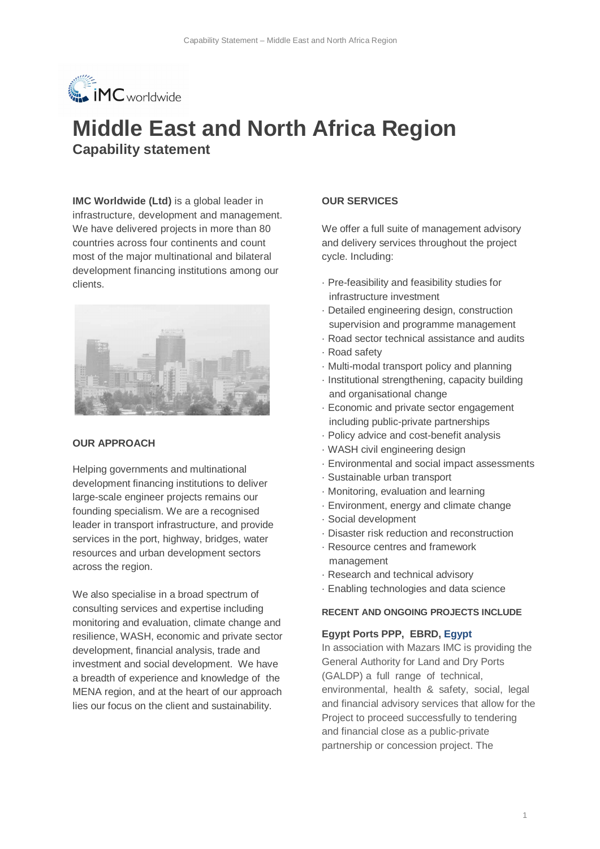

# **Middle East and North Africa Region Capability statement**

**IMC Worldwide (Ltd)** is a global leader in infrastructure, development and management. We have delivered projects in more than 80 countries across four continents and count most of the major multinational and bilateral development financing institutions among our clients.



### **OUR APPROACH**

Helping governments and multinational development financing institutions to deliver large-scale engineer projects remains our founding specialism. We are a recognised leader in transport infrastructure, and provide services in the port, highway, bridges, water resources and urban development sectors across the region.

We also specialise in a broad spectrum of consulting services and expertise including monitoring and evaluation, climate change and resilience, WASH, economic and private sector development, financial analysis, trade and investment and social development. We have a breadth of experience and knowledge of the MENA region, and at the heart of our approach lies our focus on the client and sustainability.

### **OUR SERVICES**

We offer a full suite of management advisory and delivery services throughout the project cycle. Including:

- · Pre-feasibility and feasibility studies for infrastructure investment
- · Detailed engineering design, construction supervision and programme management
- · Road sector technical assistance and audits
- · Road safety
- · Multi-modal transport policy and planning
- · Institutional strengthening, capacity building and organisational change
- · Economic and private sector engagement including public-private partnerships
- · Policy advice and cost-benefit analysis
- · WASH civil engineering design
- · Environmental and social impact assessments
- · Sustainable urban transport
- · Monitoring, evaluation and learning
- · Environment, energy and climate change
- · Social development
- · Disaster risk reduction and reconstruction
- · Resource centres and framework management
- · Research and technical advisory
- · Enabling technologies and data science

#### **RECENT AND ONGOING PROJECTS INCLUDE**

#### **Egypt Ports PPP, EBRD, Egypt**

In association with Mazars IMC is providing the General Authority for Land and Dry Ports (GALDP) a full range of technical, environmental, health & safety, social, legal and financial advisory services that allow for the Project to proceed successfully to tendering and financial close as a public-private partnership or concession project. The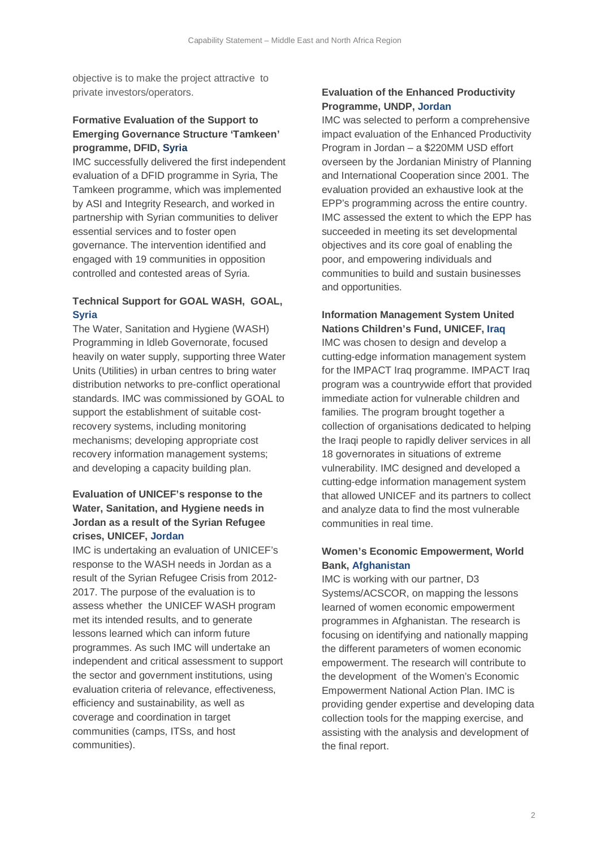objective is to make the project attractive to private investors/operators.

# **Formative Evaluation of the Support to Emerging Governance Structure 'Tamkeen' programme, DFID, Syria**

IMC successfully delivered the first independent evaluation of a DFID programme in Syria, The Tamkeen programme, which was implemented by ASI and Integrity Research, and worked in partnership with Syrian communities to deliver essential services and to foster open governance. The intervention identified and engaged with 19 communities in opposition controlled and contested areas of Syria.

# **Technical Support for GOAL WASH, GOAL, Syria**

The Water, Sanitation and Hygiene (WASH) Programming in Idleb Governorate, focused heavily on water supply, supporting three Water Units (Utilities) in urban centres to bring water distribution networks to pre-conflict operational standards. IMC was commissioned by GOAL to support the establishment of suitable costrecovery systems, including monitoring mechanisms; developing appropriate cost recovery information management systems; and developing a capacity building plan.

# **Evaluation of UNICEF's response to the Water, Sanitation, and Hygiene needs in Jordan as a result of the Syrian Refugee crises, UNICEF, Jordan**

IMC is undertaking an evaluation of UNICEF's response to the WASH needs in Jordan as a result of the Syrian Refugee Crisis from 2012- 2017. The purpose of the evaluation is to assess whether the UNICEF WASH program met its intended results, and to generate lessons learned which can inform future programmes. As such IMC will undertake an independent and critical assessment to support the sector and government institutions, using evaluation criteria of relevance, effectiveness, efficiency and sustainability, as well as coverage and coordination in target communities (camps, ITSs, and host communities).

# **Evaluation of the Enhanced Productivity Programme, UNDP, Jordan**

IMC was selected to perform a comprehensive impact evaluation of the Enhanced Productivity Program in Jordan – a \$220MM USD effort overseen by the Jordanian Ministry of Planning and International Cooperation since 2001. The evaluation provided an exhaustive look at the EPP's programming across the entire country. IMC assessed the extent to which the EPP has succeeded in meeting its set developmental objectives and its core goal of enabling the poor, and empowering individuals and communities to build and sustain businesses and opportunities.

## **Information Management System United Nations Children's Fund, UNICEF, Iraq**

IMC was chosen to design and develop a cutting-edge information management system for the IMPACT Iraq programme. IMPACT Iraq program was a countrywide effort that provided immediate action for vulnerable children and families. The program brought together a collection of organisations dedicated to helping the Iraqi people to rapidly deliver services in all 18 governorates in situations of extreme vulnerability. IMC designed and developed a cutting-edge information management system that allowed UNICEF and its partners to collect and analyze data to find the most vulnerable communities in real time.

# **Women's Economic Empowerment, World Bank, Afghanistan**

IMC is working with our partner, D3 Systems/ACSCOR, on mapping the lessons learned of women economic empowerment programmes in Afghanistan. The research is focusing on identifying and nationally mapping the different parameters of women economic empowerment. The research will contribute to the development of the Women's Economic Empowerment National Action Plan. IMC is providing gender expertise and developing data collection tools for the mapping exercise, and assisting with the analysis and development of the final report.